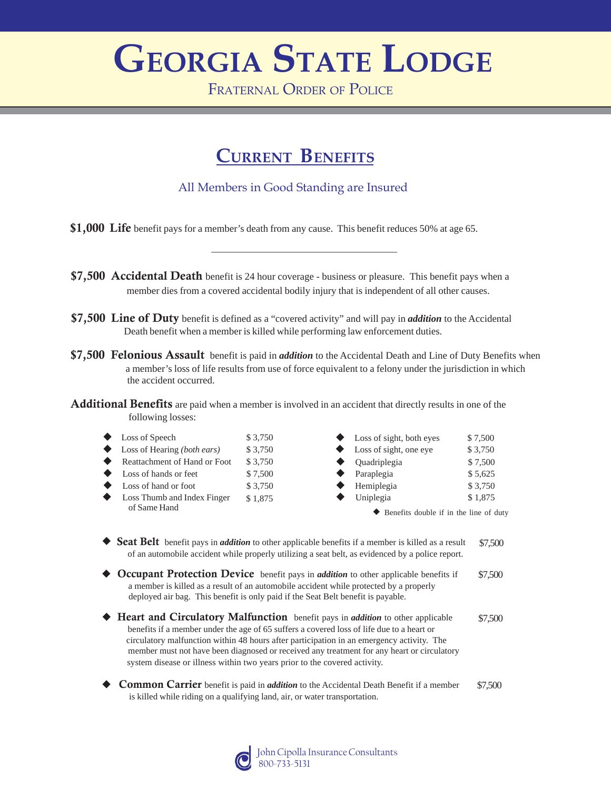# **GEORGIA STATE LODGE**

FRATERNAL ORDER OF POLICE

## **CURRENT BENEFITS**

#### All Members in Good Standing are Insured

- \$1,000 Life benefit pays for a member's death from any cause. This benefit reduces 50% at age 65.
- **\$7,500 Accidental Death** benefit is 24 hour coverage business or pleasure. This benefit pays when a member dies from a covered accidental bodily injury that is independent of all other causes.
- \$7,500 Line of Duty benefit is defined as a "covered activity" and will pay in *addition* to the Accidental Death benefit when a member is killed while performing law enforcement duties.
- \$7,500 Felonious Assault benefit is paid in *addition* to the Accidental Death and Line of Duty Benefits when a member's loss of life results from use of force equivalent to a felony under the jurisdiction in which the accident occurred.

Additional Benefits are paid when a member is involved in an accident that directly results in one of the following losses:

- Loss Thumb and Index Finger Reattachment of Hand or Foot \$ 3,750 Loss of Speech  $$3,750$ Loss of hands or feet \$7,500 Loss of hand or foot \$ 3,750 of Same Hand Loss of Hearing *(both ears)* \$ 3,750 \$ 1,875
- $\blacklozenge$ Loss of sight, both eyes \$7,500 Loss of sight, one eye \$ 3,750 Quadriplegia \$ 7,500 Paraplegia \$5,625 Hemiplegia  $$3,750$ Uniplegia  $$ 1,875$

Benefits double if in the line of duty

- Seat Belt benefit pays in *addition* to other applicable benefits if a member is killed as a result of an automobile accident while properly utilizing a seat belt, as evidenced by a police report. \$7,500
- Occupant Protection Device benefit pays in *addition* to other applicable benefits if a member is killed as a result of an automobile accident while protected by a properly deployed air bag. This benefit is only paid if the Seat Belt benefit is payable. \$7,500
- ◆ Heart and Circulatory Malfunction benefit pays in *addition* to other applicable \$7,500 benefits if a member under the age of 65 suffers a covered loss of life due to a heart or circulatory malfunction within 48 hours after participation in an emergency activity. The member must not have been diagnosed or received any treatment for any heart or circulatory system disease or illness within two years prior to the covered activity.
- **Common Carrier** benefit is paid in *addition* to the Accidental Death Benefit if a member \$7,500 is killed while riding on a qualifying land, air, or water transportation.